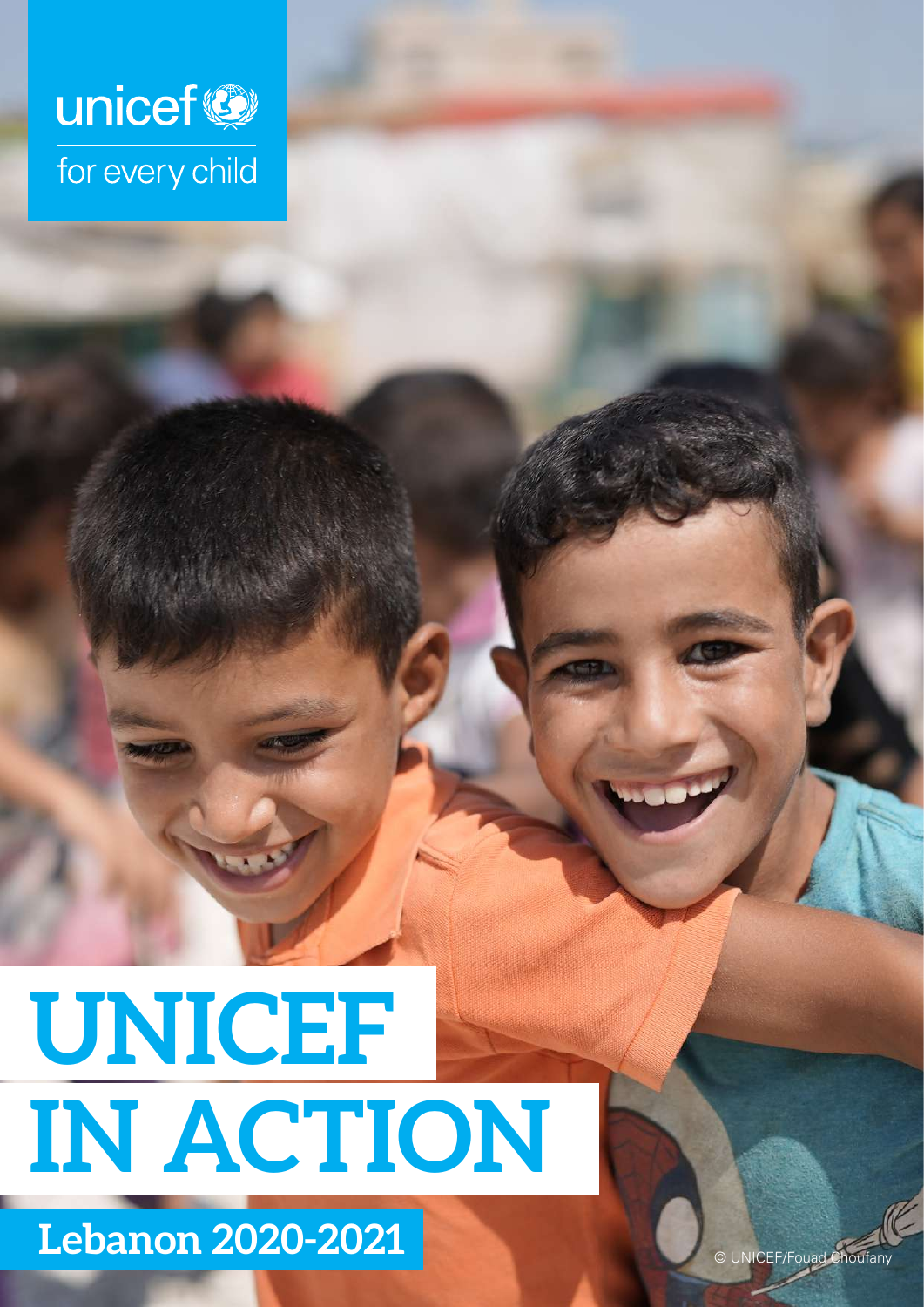

# **UNICEF IN ACTION**

**Lebanon 2020-2021** © UNICEF/Fouad Choufany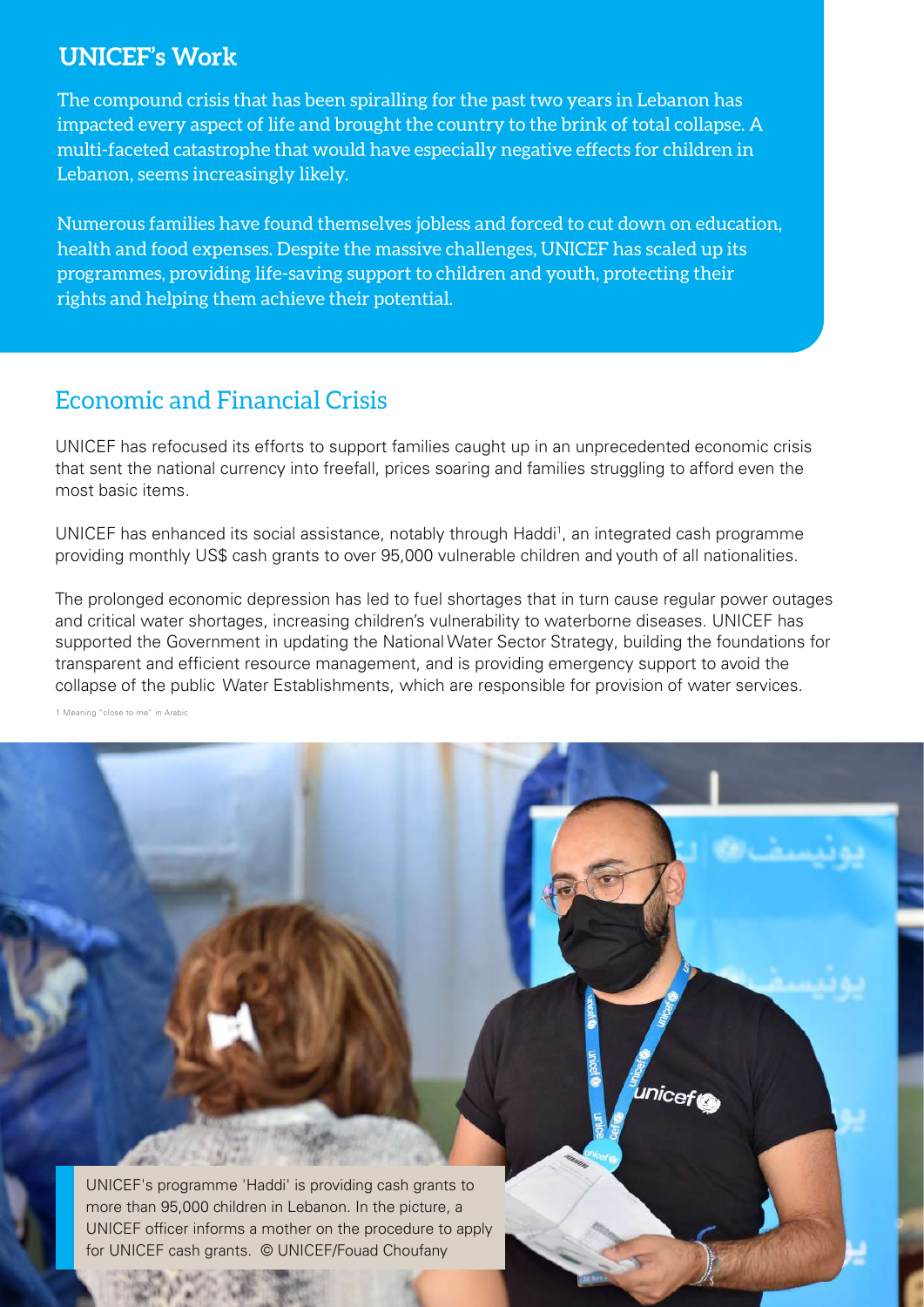### **UNICEF's Work**

The compound crisis that has been spiralling for the past two years in Lebanon has impacted every aspect of life and brought the country to the brink of total collapse. A multi-faceted catastrophe that would have especially negative effects for children in Lebanon, seems increasingly likely.

Numerous families have found themselves jobless and forced to cut down on education, health and food expenses. Despite the massive challenges, UNICEF has scaled up its programmes, providing life-saving support to children and youth, protecting their rights and helping them achieve their potential.

## Economic and Financial Crisis

UNICEF has refocused its efforts to support families caught up in an unprecedented economic crisis that sent the national currency into freefall, prices soaring and families struggling to afford even the most basic items.

UNICEF has enhanced its social assistance, notably through Haddi<sup>1</sup>, an integrated cash programme providing monthly US\$ cash grants to over 95,000 vulnerable children and youth of all nationalities.

The prolonged economic depression has led to fuel shortages that in turn cause regular power outages and critical water shortages, increasing children's vulnerability to waterborne diseases. UNICEF has supported the Government in updating the National Water Sector Strategy, building the foundations for transparent and efficient resource management, and is providing emergency support to avoid the collapse of the public Water Establishments, which are responsible for provision of water services.

unicef

1 Meaning "close to me" in Arabic

UNICEF's programme 'Haddi' is providing cash grants to more than 95,000 children in Lebanon. In the picture, a UNICEF officer informs a mother on the procedure to apply for UNICEF cash grants. © UNICEF/Fouad Choufany

 $44.16$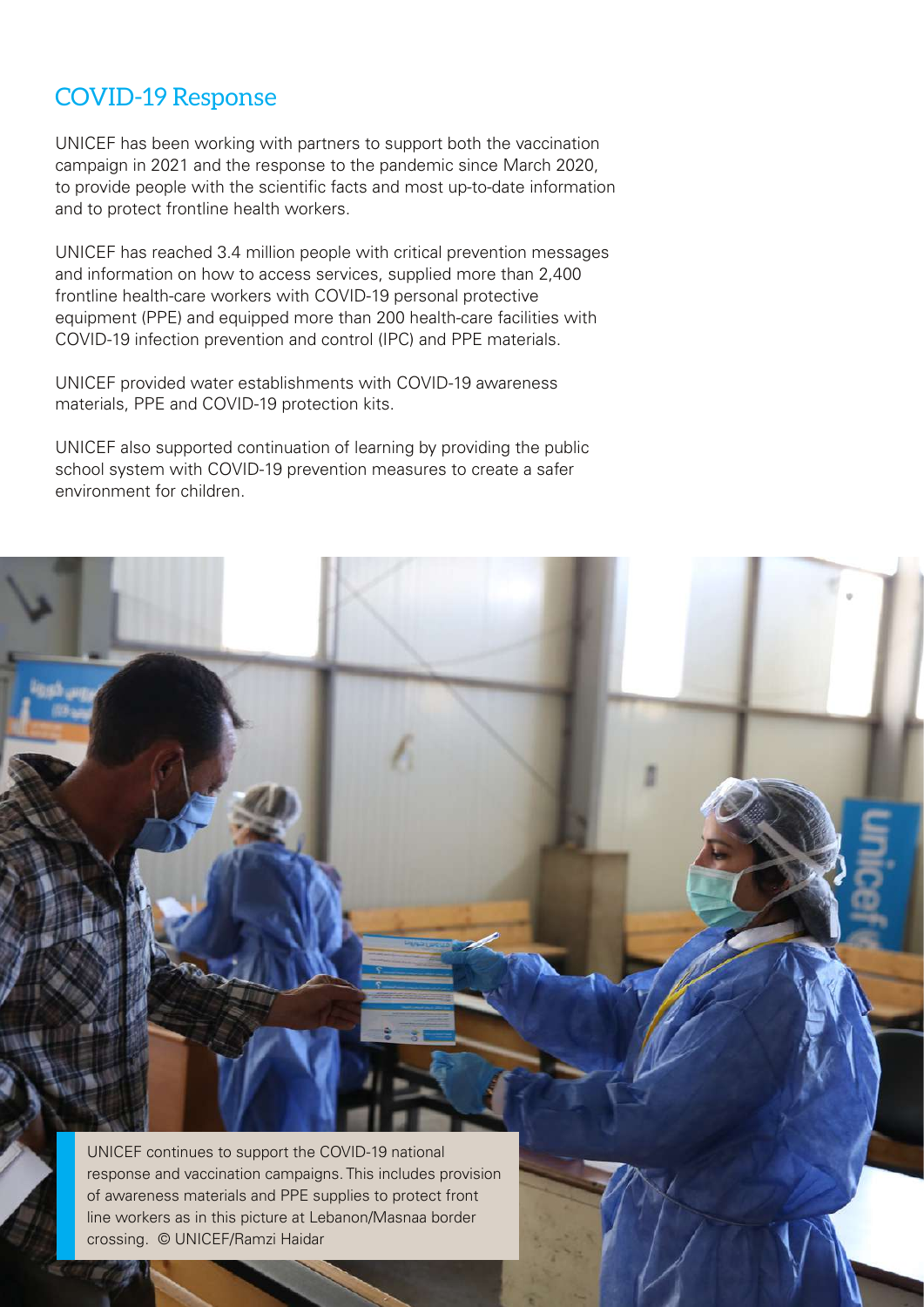## COVID-19 Response

UNICEF has been working with partners to support both the vaccination campaign in 2021 and the response to the pandemic since March 2020, to provide people with the scientific facts and most up-to-date information and to protect frontline health workers.

UNICEF has reached 3.4 million people with critical prevention messages and information on how to access services, supplied more than 2,400 frontline health-care workers with COVID-19 personal protective equipment (PPE) and equipped more than 200 health-care facilities with COVID-19 infection prevention and control (IPC) and PPE materials.

UNICEF provided water establishments with COVID-19 awareness materials, PPE and COVID-19 protection kits.

UNICEF also supported continuation of learning by providing the public school system with COVID-19 prevention measures to create a safer environment for children.

UNICEF continues to support the COVID-19 national response and vaccination campaigns. This includes provision of awareness materials and PPE supplies to protect front line workers as in this picture at Lebanon/Masnaa border

crossing. © UNICEF/Ramzi Haidar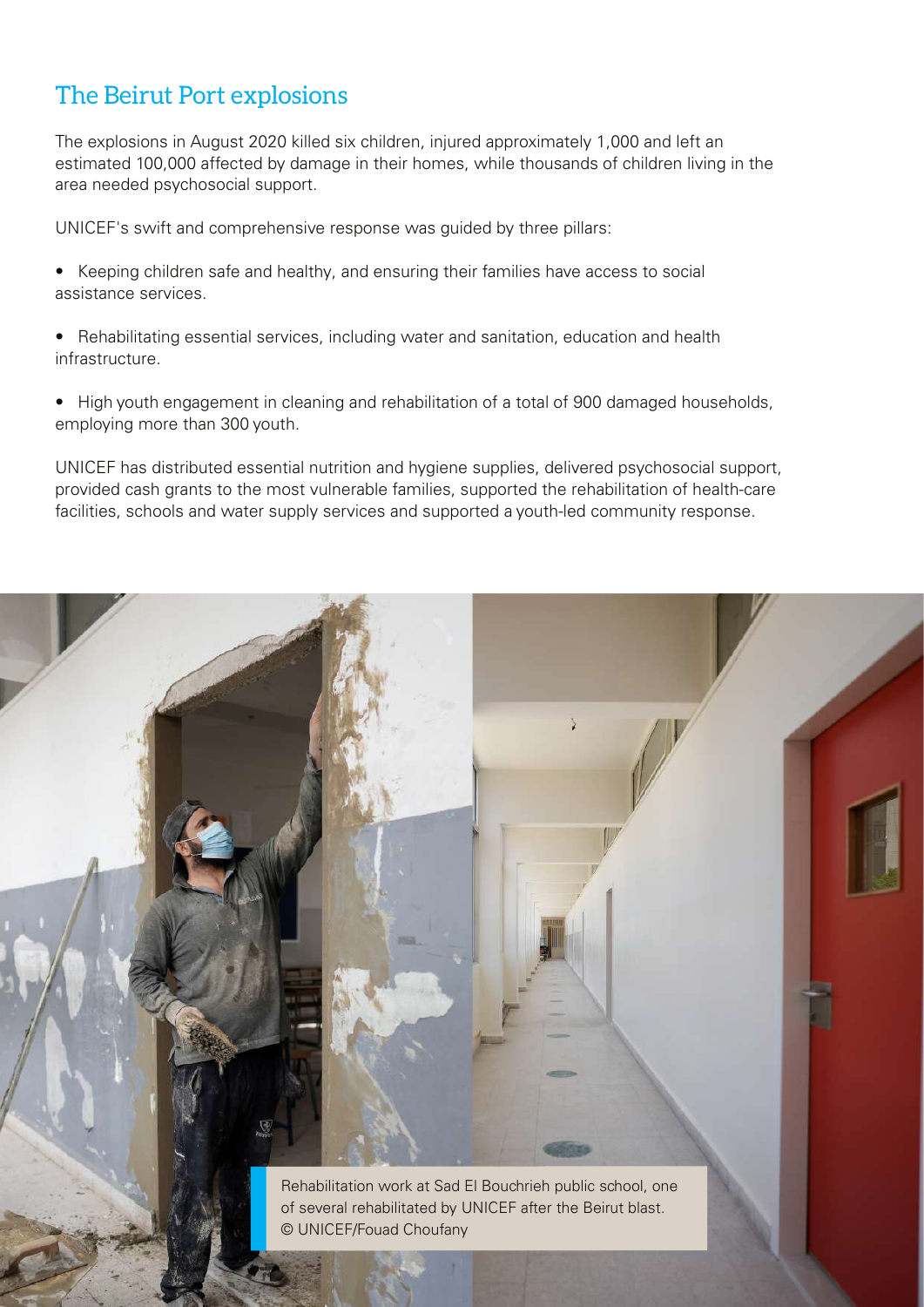## The Beirut Port explosions

The explosions in August 2020 killed six children, injured approximately 1,000 and left an estimated 100,000 affected by damage in their homes, while thousands of children living in the area needed psychosocial support.

UNICEF's swift and comprehensive response was guided by three pillars:

- Keeping children safe and healthy, and ensuring their families have access to social assistance services.
- Rehabilitating essential services, including water and sanitation, education and health infrastructure.
- High youth engagement in cleaning and rehabilitation of a total of 900 damaged households, employing more than 300 youth.

UNICEF has distributed essential nutrition and hygiene supplies, delivered psychosocial support, provided cash grants to the most vulnerable families, supported the rehabilitation of health-care facilities, schools and water supply services and supported a youth-led community response.

> Rehabilitation work at Sad El Bouchrieh public school, one of several rehabilitated by UNICEF after the Beirut blast. © UNICEF/Fouad Choufany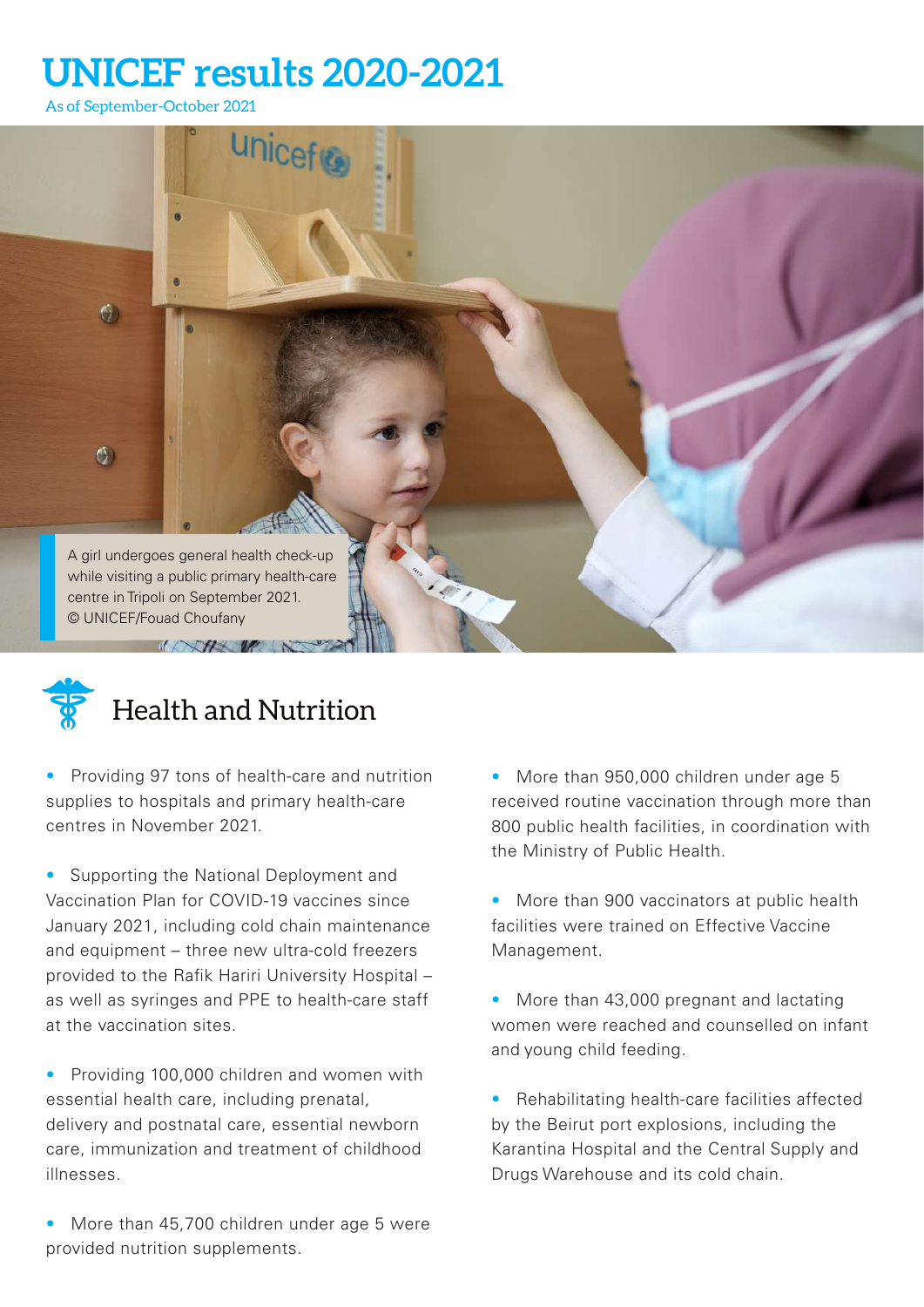# **UNICEF results 2020-2021**

As of September-October 2021





# Health and Nutrition

• Providing 97 tons of health-care and nutrition supplies to hospitals and primary health-care centres in November 2021.

• Supporting the National Deployment and Vaccination Plan for COVID-19 vaccines since January 2021, including cold chain maintenance and equipment – three new ultra-cold freezers provided to the Rafik Hariri University Hospital – as well as syringes and PPE to health-care staff at the vaccination sites.

• Providing 100,000 children and women with essential health care, including prenatal, delivery and postnatal care, essential newborn care, immunization and treatment of childhood illnesses.

More than 45,700 children under age 5 were provided nutrition supplements.

• More than 950,000 children under age 5 received routine vaccination through more than 800 public health facilities, in coordination with the Ministry of Public Health.

• More than 900 vaccinators at public health facilities were trained on Effective Vaccine Management.

• More than 43,000 pregnant and lactating women were reached and counselled on infant and young child feeding.

• Rehabilitating health-care facilities affected by the Beirut port explosions, including the Karantina Hospital and the Central Supply and Drugs Warehouse and its cold chain.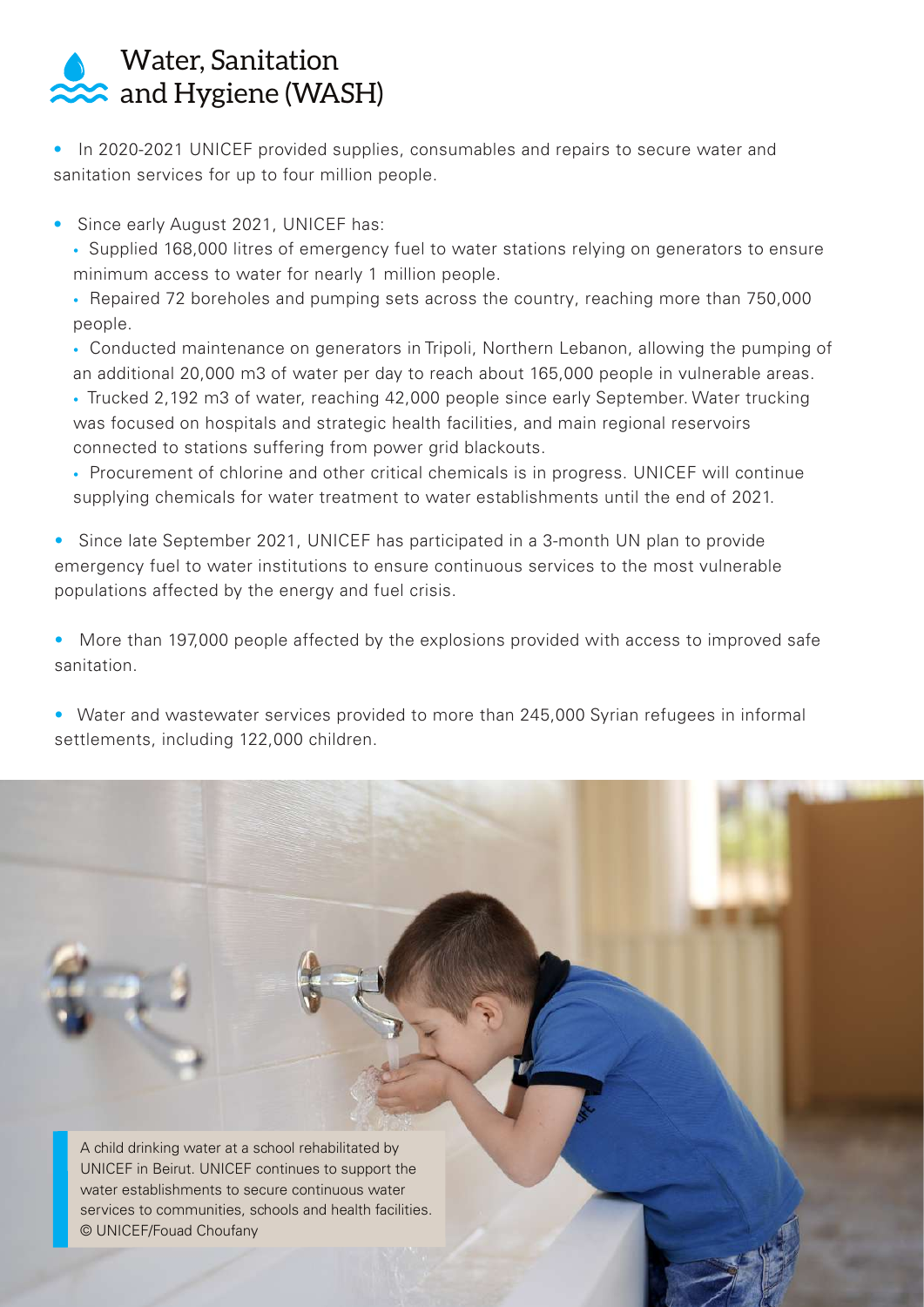## Water, Sanitation and Hygiene (WASH)

• In 2020-2021 UNICEF provided supplies, consumables and repairs to secure water and sanitation services for up to four million people.

- Since early August 2021, UNICEF has:
	- Supplied 168,000 litres of emergency fuel to water stations relying on generators to ensure minimum access to water for nearly 1 million people.
	- Repaired 72 boreholes and pumping sets across the country, reaching more than 750,000 people.
	- Conducted maintenance on generators in Tripoli, Northern Lebanon, allowing the pumping of an additional 20,000 m3 of water per day to reach about 165,000 people in vulnerable areas.
	- Trucked 2,192 m3 of water, reaching 42,000 people since early September. Water trucking was focused on hospitals and strategic health facilities, and main regional reservoirs connected to stations suffering from power grid blackouts.
	- Procurement of chlorine and other critical chemicals is in progress. UNICEF will continue supplying chemicals for water treatment to water establishments until the end of 2021.
- Since late September 2021, UNICEF has participated in a 3-month UN plan to provide emergency fuel to water institutions to ensure continuous services to the most vulnerable populations affected by the energy and fuel crisis.
- More than 197,000 people affected by the explosions provided with access to improved safe sanitation.
- Water and wastewater services provided to more than 245,000 Syrian refugees in informal settlements, including 122,000 children.

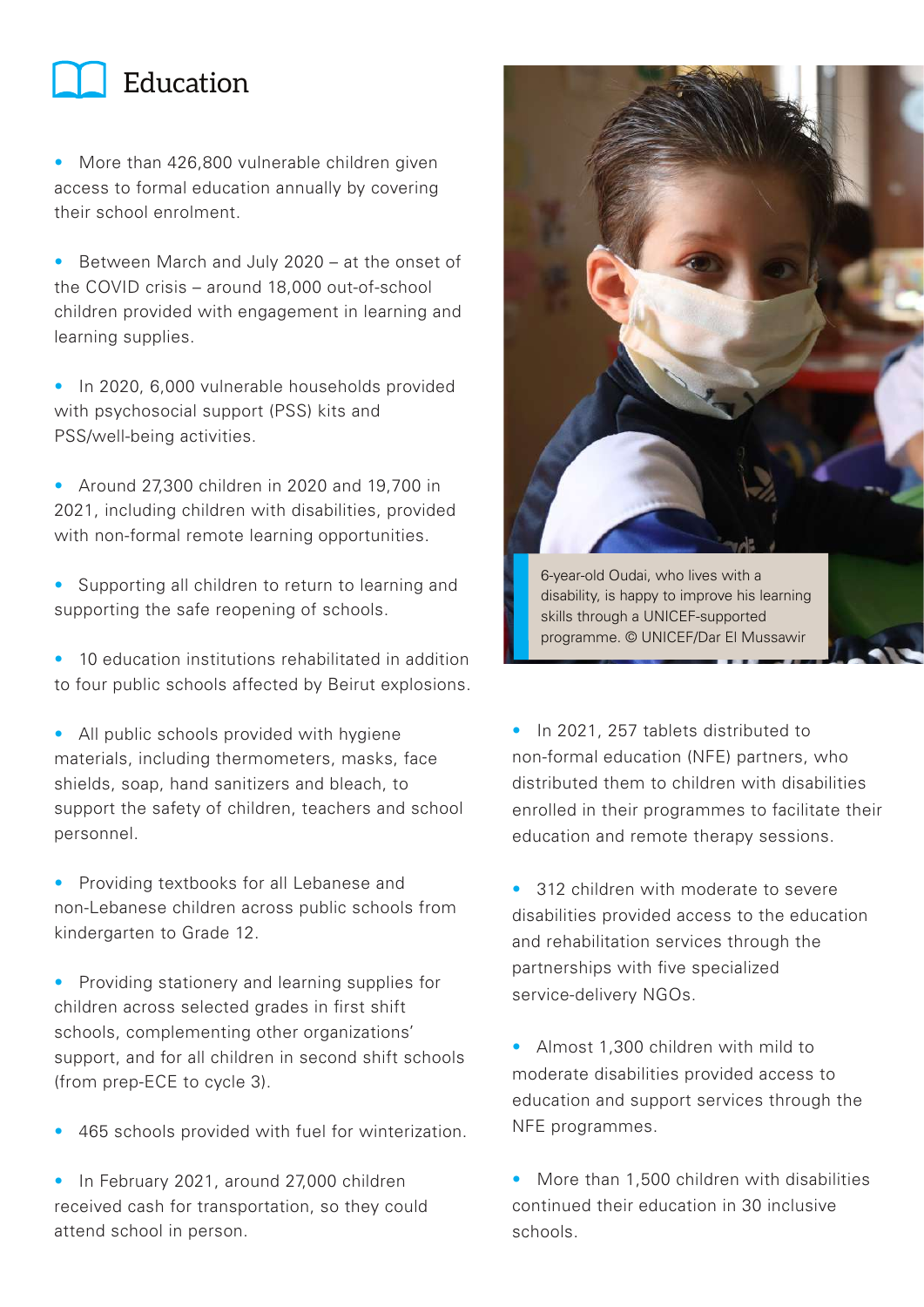

• More than 426,800 vulnerable children given access to formal education annually by covering their school enrolment.

• Between March and July 2020 – at the onset of the COVID crisis – around 18,000 out-of-school children provided with engagement in learning and learning supplies.

• In 2020, 6,000 vulnerable households provided with psychosocial support (PSS) kits and PSS/well-being activities.

• Around 27,300 children in 2020 and 19,700 in 2021, including children with disabilities, provided with non-formal remote learning opportunities.

• Supporting all children to return to learning and supporting the safe reopening of schools.

• 10 education institutions rehabilitated in addition to four public schools affected by Beirut explosions.

• All public schools provided with hygiene materials, including thermometers, masks, face shields, soap, hand sanitizers and bleach, to support the safety of children, teachers and school personnel.

• Providing textbooks for all Lebanese and non-Lebanese children across public schools from kindergarten to Grade 12.

- Providing stationery and learning supplies for children across selected grades in first shift schools, complementing other organizations' support, and for all children in second shift schools (from prep-ECE to cycle 3).
- 465 schools provided with fuel for winterization.

• In February 2021, around 27,000 children received cash for transportation, so they could attend school in person.



• In 2021, 257 tablets distributed to non-formal education (NFE) partners, who distributed them to children with disabilities enrolled in their programmes to facilitate their education and remote therapy sessions.

- 312 children with moderate to severe disabilities provided access to the education and rehabilitation services through the partnerships with five specialized service-delivery NGOs.
- Almost 1,300 children with mild to moderate disabilities provided access to education and support services through the NFE programmes.

• More than 1,500 children with disabilities continued their education in 30 inclusive schools.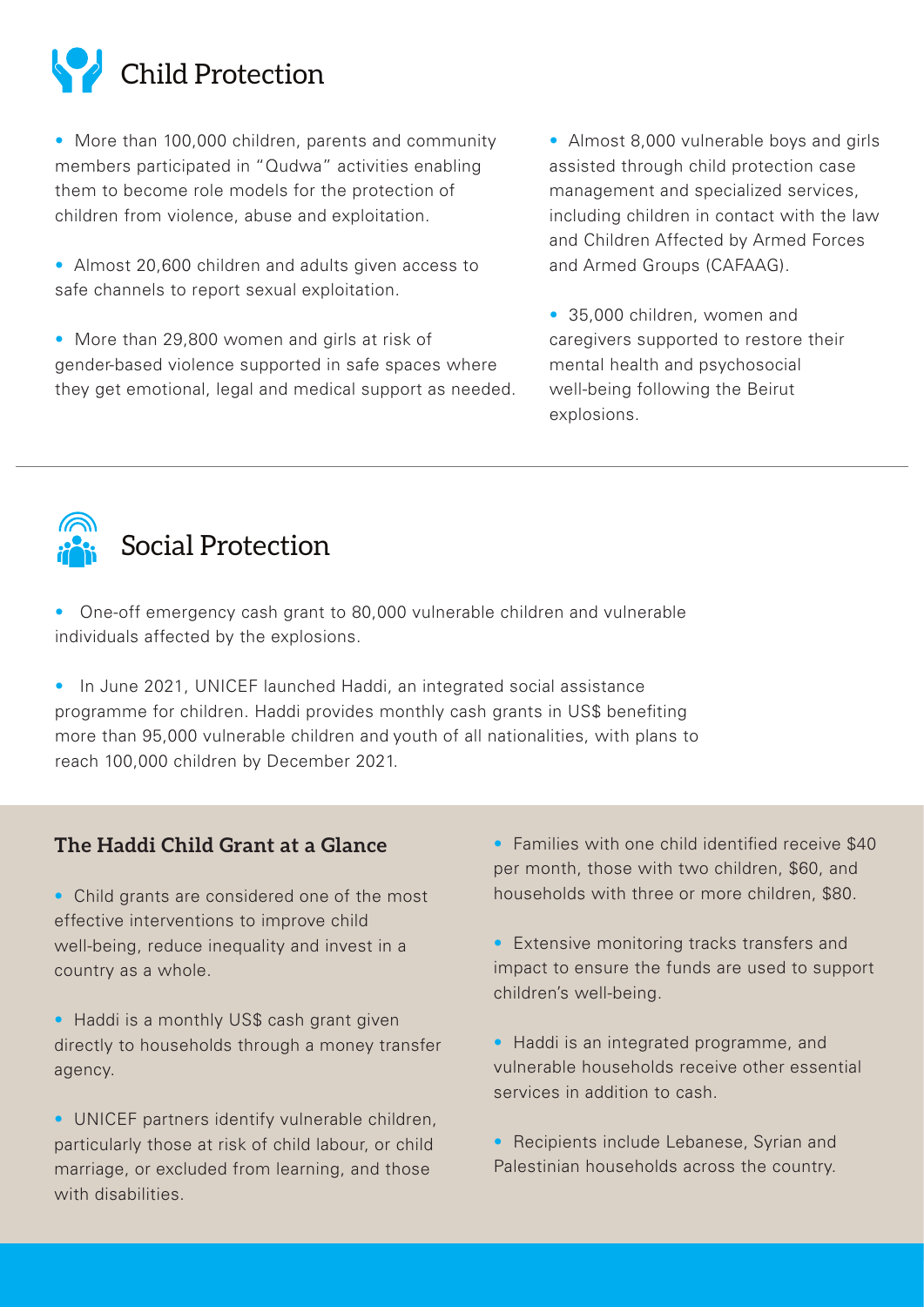

• More than 100,000 children, parents and community members participated in "Qudwa" activities enabling them to become role models for the protection of children from violence, abuse and exploitation.

• Almost 20,600 children and adults given access to safe channels to report sexual exploitation.

• More than 29,800 women and girls at risk of gender-based violence supported in safe spaces where they get emotional, legal and medical support as needed.

• Almost 8,000 vulnerable boys and girls assisted through child protection case management and specialized services, including children in contact with the law and Children Affected by Armed Forces and Armed Groups (CAFAAG).

• 35,000 children, women and caregivers supported to restore their mental health and psychosocial well-being following the Beirut explosions.



• One-off emergency cash grant to 80,000 vulnerable children and vulnerable individuals affected by the explosions.

• In June 2021, UNICEF launched Haddi, an integrated social assistance programme for children. Haddi provides monthly cash grants in US\$ benefiting more than 95,000 vulnerable children and youth of all nationalities, with plans to reach 100,000 children by December 2021.

#### **The Haddi Child Grant at a Glance**

• Child grants are considered one of the most effective interventions to improve child well-being, reduce inequality and invest in a country as a whole.

• Haddi is a monthly US\$ cash grant given directly to households through a money transfer agency.

• UNICEF partners identify vulnerable children, particularly those at risk of child labour, or child marriage, or excluded from learning, and those with disabilities.

• Families with one child identified receive \$40 per month, those with two children, \$60, and households with three or more children, \$80.

• Extensive monitoring tracks transfers and impact to ensure the funds are used to support children's well-being.

• Haddi is an integrated programme, and vulnerable households receive other essential services in addition to cash.

• Recipients include Lebanese, Syrian and Palestinian households across the country.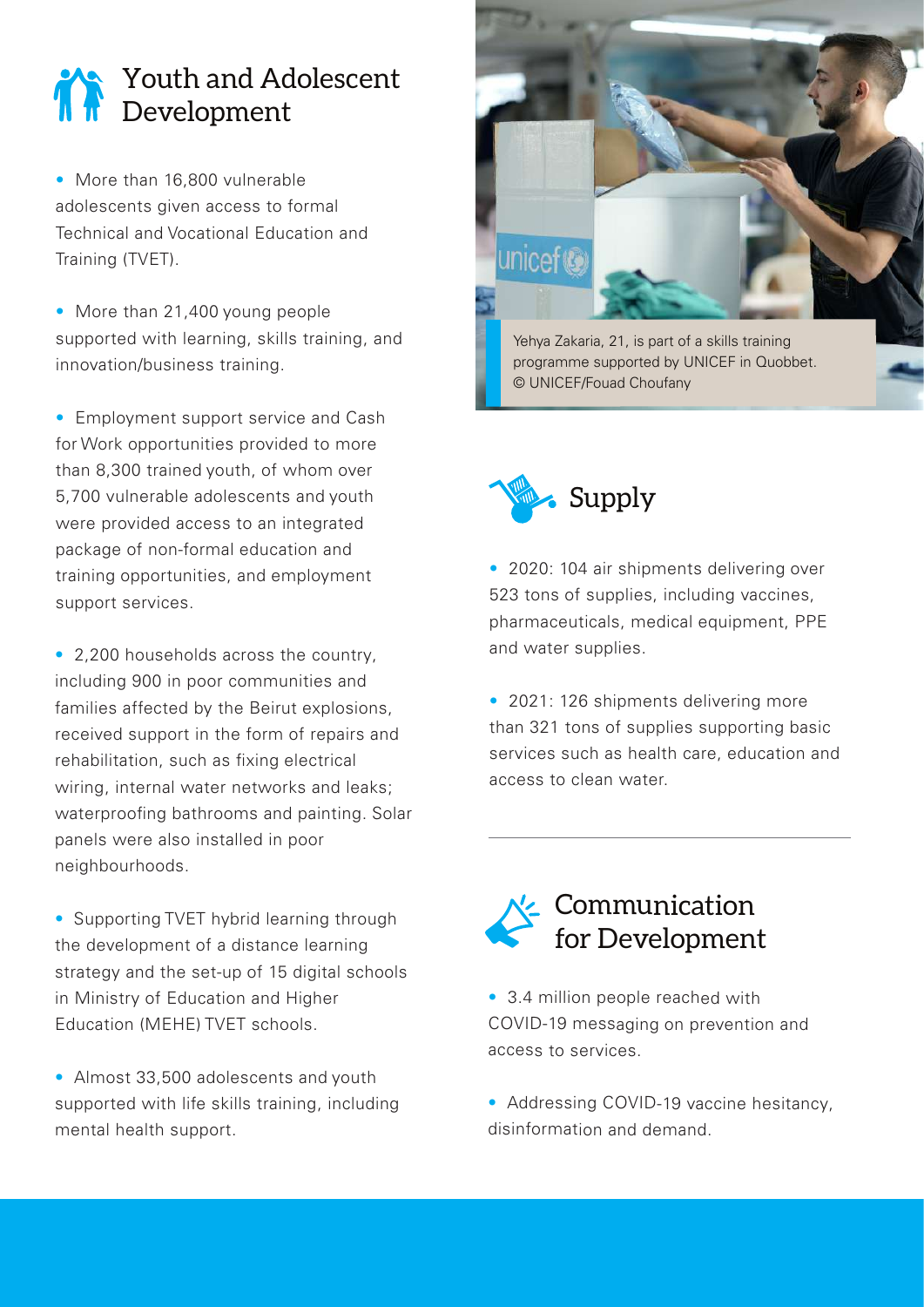# Youth and Adolescent Development

• More than 16,800 vulnerable adolescents given access to formal Technical and Vocational Education and Training (TVET).

• More than 21,400 young people supported with learning, skills training, and innovation/business training.

• Employment support service and Cash for Work opportunities provided to more than 8,300 trained youth, of whom over 5,700 vulnerable adolescents and youth were provided access to an integrated package of non-formal education and training opportunities, and employment support services.

• 2,200 households across the country, including 900 in poor communities and families affected by the Beirut explosions. received support in the form of repairs and rehabilitation, such as fixing electrical wiring, internal water networks and leaks; waterproofing bathrooms and painting. Solar panels were also installed in poor neighbourhoods.

• Supporting TVET hybrid learning through the development of a distance learning strategy and the set-up of 15 digital schools in Ministry of Education and Higher Education (MEHE) TVET schools.

• Almost 33,500 adolescents and youth supported with life skills training, including mental health support.



Yehya Zakaria, 21, is part of a skills training programme supported by UNICEF in Quobbet. © UNICEF/Fouad Choufany

Supply

• 2020: 104 air shipments delivering over 523 tons of supplies, including vaccines, pharmaceuticals, medical equipment, PPE and water supplies.

• 2021: 126 shipments delivering more than 321 tons of supplies supporting basic services such as health care, education and access to clean water.



- 3.4 million people reached with COVID-19 messaging on prevention and access to services.
- Addressing COVID-19 vaccine hesitancy, disinformation and demand.